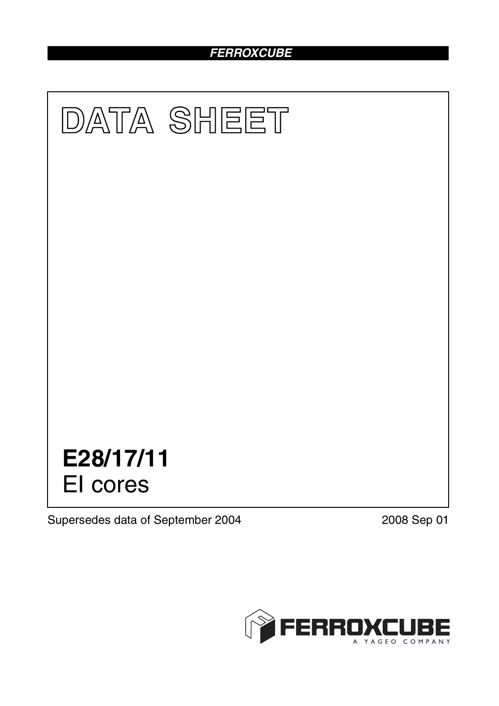# *FERROXCUBE*



Supersedes data of September 2004 2008 Sep 01

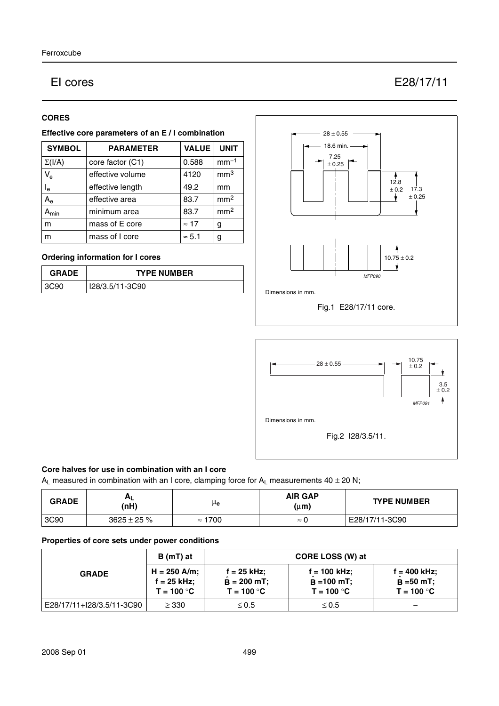## EI cores E28/17/11

#### **CORES**

#### **Effective core parameters of an E / I combination**

| <b>SYMBOL</b>           | <b>PARAMETER</b> | <b>VALUE</b>  | <b>UNIT</b>     |
|-------------------------|------------------|---------------|-----------------|
| $\Sigma(I/A)$           | core factor (C1) | 0.588         | $mm-1$          |
| $V_{e}$                 | effective volume | 4120          | mm <sup>3</sup> |
| $\mathsf{I}_\mathsf{e}$ | effective length | 49.2          | mm              |
| $A_{\rm e}$             | effective area   | 83.7          | mm <sup>2</sup> |
| $A_{min}$               | minimum area     | 83.7          | mm <sup>2</sup> |
| m                       | mass of E core   | $\approx$ 17  | g               |
| m                       | mass of I core   | $\approx 5.1$ | g               |

### **Ordering information for I cores**

| <b>GRADE</b> | <b>TYPE NUMBER</b> |  |
|--------------|--------------------|--|
| 3C90         | I28/3.5/11-3C90    |  |





#### **Core halves for use in combination with an I core**

 $A_L$  measured in combination with an I core, clamping force for  $A_L$  measurements 40  $\pm$  20 N;

| <b>GRADE</b> | (nH)             | μe                | <b>AIR GAP</b><br>$(\mu m)$ | <b>TYPE NUMBER</b> |
|--------------|------------------|-------------------|-----------------------------|--------------------|
| 3C90         | $3625 \pm 25 \%$ | 1700<br>$\approx$ | $\approx$                   | E28/17/11-3C90     |

#### **Properties of core sets under power conditions**

| <b>GRADE</b>              | B (mT) at                                       |                                              | CORE LOSS (W) at                                |                                               |
|---------------------------|-------------------------------------------------|----------------------------------------------|-------------------------------------------------|-----------------------------------------------|
|                           | $H = 250$ A/m;<br>$f = 25$ kHz;<br>$T = 100 °C$ | f = 25 kHz;<br>$B = 200$ mT;<br>$T = 100 °C$ | $f = 100$ kHz;<br>$B = 100$ mT;<br>$T = 100 °C$ | f = 400 kHz:<br>$B = 50 mT$ ;<br>$T = 100 °C$ |
| E28/17/11+I28/3.5/11-3C90 | $\geq$ 330                                      | $\leq 0.5$                                   | $\leq 0.5$                                      |                                               |